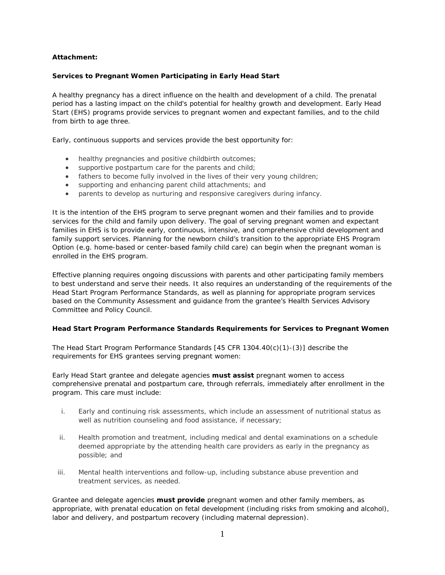# **Attachment:**

# **Services to Pregnant Women Participating in Early Head Start**

A healthy pregnancy has a direct influence on the health and development of a child. The prenatal period has a lasting impact on the child's potential for healthy growth and development. Early Head Start (EHS) programs provide services to pregnant women and expectant families, and to the child from birth to age three.

Early, continuous supports and services provide the best opportunity for:

- healthy pregnancies and positive childbirth outcomes;
- supportive postpartum care for the parents and child;
- fathers to become fully involved in the lives of their very young children;
- supporting and enhancing parent child attachments; and
- parents to develop as nurturing and responsive caregivers during infancy.

It is the intention of the EHS program to serve pregnant women and their families and to provide services for the child and family upon delivery. The goal of serving pregnant women and expectant families in EHS is to provide early, continuous, intensive, and comprehensive child development and family support services. Planning for the newborn child's transition to the appropriate EHS Program Option (e.g. home-based or center-based family child care) can begin when the pregnant woman is enrolled in the EHS program.

Effective planning requires ongoing discussions with parents and other participating family members to best understand and serve their needs. It also requires an understanding of the requirements of the *Head Start Program Performance Standards*, as well as planning for appropriate program services based on the Community Assessment and guidance from the grantee's Health Services Advisory Committee and Policy Council.

# **Head Start Program Performance Standards Requirements for Services to Pregnant Women**

The *Head Start Program Performance Standards* [45 CFR 1304.40(c)(1)-(3)] describe the requirements for EHS grantees serving pregnant women:

Early Head Start grantee and delegate agencies **must assist** pregnant women to access comprehensive prenatal and postpartum care, through referrals, immediately after enrollment in the program. This care must include:

- i. Early and continuing risk assessments, which include an assessment of nutritional status as well as nutrition counseling and food assistance, if necessary;
- ii. Health promotion and treatment, including medical and dental examinations on a schedule deemed appropriate by the attending health care providers as early in the pregnancy as possible; and
- iii. Mental health interventions and follow-up, including substance abuse prevention and treatment services, as needed.

Grantee and delegate agencies **must provide** pregnant women and other family members, as appropriate, with prenatal education on fetal development (including risks from smoking and alcohol), labor and delivery, and postpartum recovery (including maternal depression).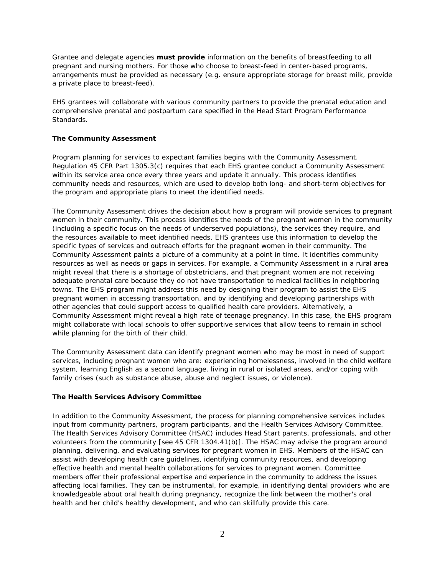Grantee and delegate agencies **must provide** information on the benefits of breastfeeding to all pregnant and nursing mothers. For those who choose to breast-feed in center-based programs, arrangements must be provided as necessary (e.g. ensure appropriate storage for breast milk, provide a private place to breast-feed).

EHS grantees will collaborate with various community partners to provide the prenatal education and comprehensive prenatal and postpartum care specified in the *Head Start Program Performance Standards*.

### **The Community Assessment**

Program planning for services to expectant families begins with the Community Assessment. Regulation 45 CFR Part 1305.3(c) requires that each EHS grantee conduct a Community Assessment within its service area once every three years and update it annually. This process identifies community needs and resources, which are used to develop both long- and short-term objectives for the program and appropriate plans to meet the identified needs.

The Community Assessment drives the decision about how a program will provide services to pregnant women in their community. This process identifies the needs of the pregnant women in the community (including a specific focus on the needs of underserved populations), the services they require, and the resources available to meet identified needs. EHS grantees use this information to develop the specific types of services and outreach efforts for the pregnant women in their community. The Community Assessment paints a picture of a community at a point in time. It identifies community resources as well as needs or gaps in services. For example, a Community Assessment in a rural area might reveal that there is a shortage of obstetricians, and that pregnant women are not receiving adequate prenatal care because they do not have transportation to medical facilities in neighboring towns. The EHS program might address this need by designing their program to assist the EHS pregnant women in accessing transportation, and by identifying and developing partnerships with other agencies that could support access to qualified health care providers. Alternatively, a Community Assessment might reveal a high rate of teenage pregnancy. In this case, the EHS program might collaborate with local schools to offer supportive services that allow teens to remain in school while planning for the birth of their child.

The Community Assessment data can identify pregnant women who may be most in need of support services, including pregnant women who are: experiencing homelessness, involved in the child welfare system, learning English as a second language, living in rural or isolated areas, and/or coping with family crises (such as substance abuse, abuse and neglect issues, or violence).

#### **The Health Services Advisory Committee**

In addition to the Community Assessment, the process for planning comprehensive services includes input from community partners, program participants, and the Health Services Advisory Committee. The Health Services Advisory Committee (HSAC) includes Head Start parents, professionals, and other volunteers from the community [see 45 CFR 1304.41(b)]. The HSAC may advise the program around planning, delivering, and evaluating services for pregnant women in EHS. Members of the HSAC can assist with developing health care guidelines, identifying community resources, and developing effective health and mental health collaborations for services to pregnant women. Committee members offer their professional expertise and experience in the community to address the issues affecting local families. They can be instrumental, for example, in identifying dental providers who are knowledgeable about oral health during pregnancy, recognize the link between the mother's oral health and her child's healthy development, and who can skillfully provide this care.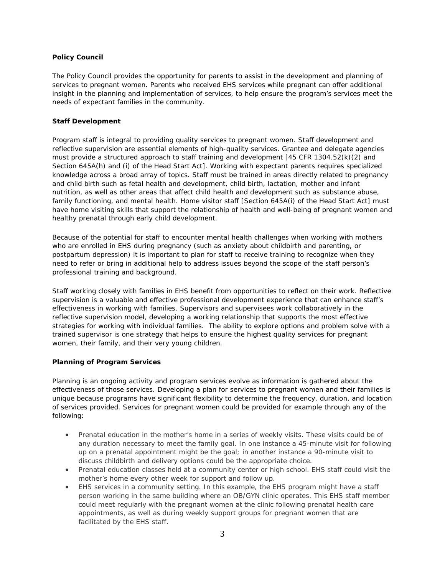# **Policy Council**

The Policy Council provides the opportunity for parents to assist in the development and planning of services to pregnant women. Parents who received EHS services while pregnant can offer additional insight in the planning and implementation of services, to help ensure the program's services meet the needs of expectant families in the community.

### **Staff Development**

Program staff is integral to providing quality services to pregnant women. Staff development and reflective supervision are essential elements of high-quality services. Grantee and delegate agencies must provide a structured approach to staff training and development [45 CFR 1304.52(k)(2) and Section 645A(h) and (i) of the Head Start Act]. Working with expectant parents requires specialized knowledge across a broad array of topics. Staff must be trained in areas directly related to pregnancy and child birth such as fetal health and development, child birth, lactation, mother and infant nutrition, as well as other areas that affect child health and development such as substance abuse, family functioning, and mental health. Home visitor staff [Section 645A(i) of the Head Start Act] must have home visiting skills that support the relationship of health and well-being of pregnant women and healthy prenatal through early child development.

 postpartum depression) it is important to plan for staff to receive training to recognize when they Because of the potential for staff to encounter mental health challenges when working with mothers who are enrolled in EHS during pregnancy (such as anxiety about childbirth and parenting, or need to refer or bring in additional help to address issues beyond the scope of the staff person's professional training and background.

Staff working closely with families in EHS benefit from opportunities to reflect on their work. Reflective supervision is a valuable and effective professional development experience that can enhance staff's effectiveness in working with families. Supervisors and supervisees work collaboratively in the reflective supervision model, developing a working relationship that supports the most effective strategies for working with individual families. The ability to explore options and problem solve with a trained supervisor is one strategy that helps to ensure the highest quality services for pregnant women, their family, and their very young children.

# **Planning of Program Services**

Planning is an ongoing activity and program services evolve as information is gathered about the effectiveness of those services. Developing a plan for services to pregnant women and their families is unique because programs have significant flexibility to determine the frequency, duration, and location of services provided. Services for pregnant women could be provided for example through any of the following:

- Prenatal education in the mother's home in a series of weekly visits. These visits could be of any duration necessary to meet the family goal. In one instance a 45-minute visit for following up on a prenatal appointment might be the goal; in another instance a 90-minute visit to discuss childbirth and delivery options could be the appropriate choice.
- Prenatal education classes held at a community center or high school. EHS staff could visit the mother's home every other week for support and follow up.
- EHS services in a community setting. In this example, the EHS program might have a staff person working in the same building where an OB/GYN clinic operates. This EHS staff member could meet regularly with the pregnant women at the clinic following prenatal health care appointments, as well as during weekly support groups for pregnant women that are facilitated by the EHS staff.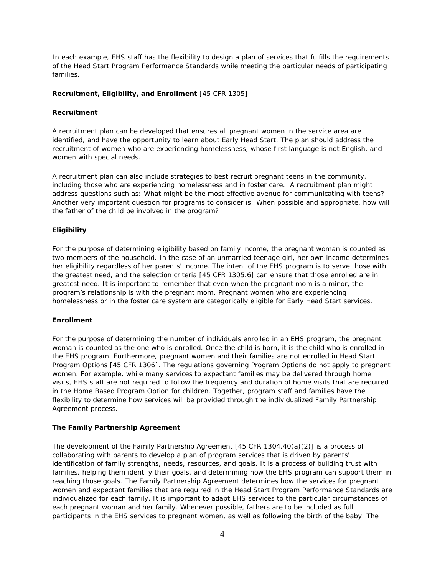In each example, EHS staff has the flexibility to design a plan of services that fulfills the requirements of the *Head Start Program Performance Standards* while meeting the particular needs of participating families.

### **Recruitment, Eligibility, and Enrollment** [45 CFR 1305]

### *Recruitment*

A recruitment plan can be developed that ensures all pregnant women in the service area are identified, and have the opportunity to learn about Early Head Start. The plan should address the recruitment of women who are experiencing homelessness, whose first language is not English, and women with special needs.

A recruitment plan can also include strategies to best recruit pregnant teens in the community, including those who are experiencing homelessness and in foster care. A recruitment plan might address questions such as: What might be the most effective avenue for communicating with teens? Another very important question for programs to consider is: When possible and appropriate, how will the father of the child be involved in the program?

# *Eligibility*

 For the purpose of determining eligibility based on family income, the pregnant woman is counted as program's relationship is with the pregnant mom. Pregnant women who are experiencing two members of the household. In the case of an unmarried teenage girl, her own income determines her eligibility regardless of her parents' income. The intent of the EHS program is to serve those with the greatest need, and the selection criteria [45 CFR 1305.6] can ensure that those enrolled are in greatest need. It is important to remember that even when the pregnant mom is a minor, the homelessness or in the foster care system are categorically eligible for Early Head Start services.

# *Enrollment*

 woman is counted as the one who is enrolled. Once the child is born, it is the child who is enrolled in For the purpose of determining the number of individuals enrolled in an EHS program, the pregnant the EHS program. Furthermore, pregnant women and their families are not enrolled in Head Start Program Options [45 CFR 1306]. The regulations governing Program Options do not apply to pregnant women. For example, while many services to expectant families may be delivered through home visits, EHS staff are not required to follow the frequency and duration of home visits that are required in the Home Based Program Option for children. Together, program staff and families have the flexibility to determine how services will be provided through the individualized Family Partnership Agreement process.

# **The Family Partnership Agreement**

The development of the Family Partnership Agreement [45 CFR 1304.40(a)(2)] is a process of collaborating with parents to develop a plan of program services that is driven by parents' identification of family strengths, needs, resources, and goals. It is a process of building trust with families, helping them identify their goals, and determining how the EHS program can support them in reaching those goals. The Family Partnership Agreement determines how the services for pregnant women and expectant families that are required in the *Head Start Program Performance Standards* are individualized for each family. It is important to adapt EHS services to the particular circumstances of each pregnant woman and her family. Whenever possible, fathers are to be included as full participants in the EHS services to pregnant women, as well as following the birth of the baby. The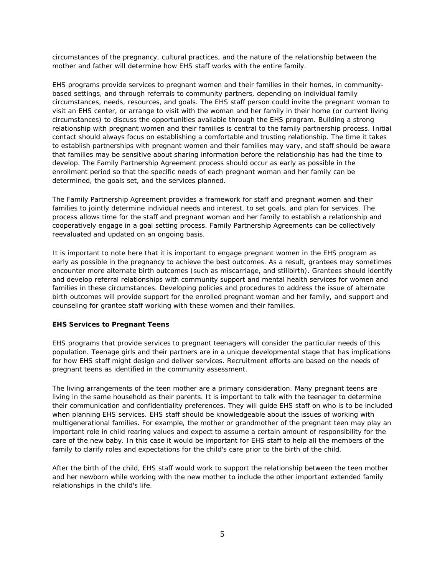circumstances of the pregnancy, cultural practices, and the nature of the relationship between the mother and father will determine how EHS staff works with the entire family.

EHS programs provide services to pregnant women and their families in their homes, in communitybased settings, and through referrals to community partners, depending on individual family circumstances, needs, resources, and goals. The EHS staff person could invite the pregnant woman to visit an EHS center, or arrange to visit with the woman and her family in their home (or current living circumstances) to discuss the opportunities available through the EHS program. Building a strong relationship with pregnant women and their families is central to the family partnership process. Initial contact should always focus on establishing a comfortable and trusting relationship. The time it takes to establish partnerships with pregnant women and their families may vary, and staff should be aware that families may be sensitive about sharing information before the relationship has had the time to develop. The Family Partnership Agreement process should occur as early as possible in the enrollment period so that the specific needs of each pregnant woman and her family can be determined, the goals set, and the services planned.

The Family Partnership Agreement provides a framework for staff and pregnant women and their families to jointly determine individual needs and interest, to set goals, and plan for services. The process allows time for the staff and pregnant woman and her family to establish a relationship and cooperatively engage in a goal setting process. Family Partnership Agreements can be collectively reevaluated and updated on an ongoing basis.

 It is important to note here that it is important to engage pregnant women in the EHS program as early as possible in the pregnancy to achieve the best outcomes. As a result, grantees may sometimes encounter more alternate birth outcomes (such as miscarriage, and stillbirth). Grantees should identify and develop referral relationships with community support and mental health services for women and families in these circumstances. Developing policies and procedures to address the issue of alternate birth outcomes will provide support for the enrolled pregnant woman and her family, and support and counseling for grantee staff working with these women and their families.

# **EHS Services to Pregnant Teens**

EHS programs that provide services to pregnant teenagers will consider the particular needs of this population. Teenage girls and their partners are in a unique developmental stage that has implications for how EHS staff might design and deliver services. Recruitment efforts are based on the needs of pregnant teens as identified in the community assessment.

The living arrangements of the teen mother are a primary consideration. Many pregnant teens are living in the same household as their parents. It is important to talk with the teenager to determine their communication and confidentiality preferences. They will guide EHS staff on who is to be included when planning EHS services. EHS staff should be knowledgeable about the issues of working with multigenerational families. For example, the mother or grandmother of the pregnant teen may play an important role in child rearing values and expect to assume a certain amount of responsibility for the care of the new baby. In this case it would be important for EHS staff to help all the members of the family to clarify roles and expectations for the child's care prior to the birth of the child.

After the birth of the child, EHS staff would work to support the relationship between the teen mother and her newborn while working with the new mother to include the other important extended family relationships in the child's life.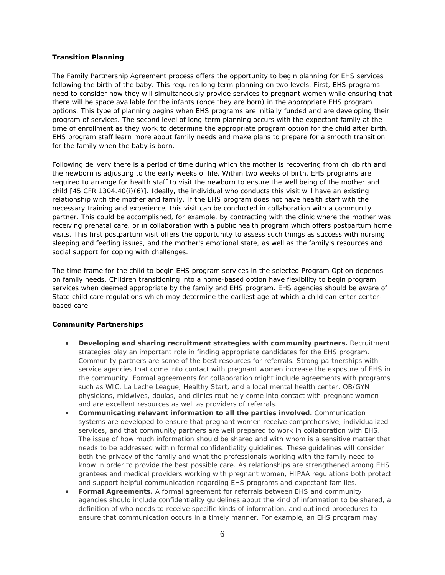### **Transition Planning**

The Family Partnership Agreement process offers the opportunity to begin planning for EHS services following the birth of the baby. This requires long term planning on two levels. First, EHS programs need to consider how they will simultaneously provide services to pregnant women while ensuring that there will be space available for the infants (once they are born) in the appropriate EHS program options. This type of planning begins when EHS programs are initially funded and are developing their program of services. The second level of long-term planning occurs with the expectant family at the time of enrollment as they work to determine the appropriate program option for the child after birth. EHS program staff learn more about family needs and make plans to prepare for a smooth transition for the family when the baby is born.

Following delivery there is a period of time during which the mother is recovering from childbirth and the newborn is adjusting to the early weeks of life. Within two weeks of birth, EHS programs are required to arrange for health staff to visit the newborn to ensure the well being of the mother and child [45 CFR 1304.40(i)(6)]. Ideally, the individual who conducts this visit will have an existing relationship with the mother and family. If the EHS program does not have health staff with the necessary training and experience, this visit can be conducted in collaboration with a community partner. This could be accomplished, for example, by contracting with the clinic where the mother was receiving prenatal care, or in collaboration with a public health program which offers postpartum home visits. This first postpartum visit offers the opportunity to assess such things as success with nursing, sleeping and feeding issues, and the mother's emotional state, as well as the family's resources and social support for coping with challenges.

The time frame for the child to begin EHS program services in the selected Program Option depends on family needs. Children transitioning into a home-based option have flexibility to begin program services when deemed appropriate by the family and EHS program. EHS agencies should be aware of State child care regulations which may determine the earliest age at which a child can enter centerbased care.

# **Community Partnerships**

- strategies play an important role in finding appropriate candidates for the EHS program. service agencies that come into contact with pregnant women increase the exposure of EHS in • **Developing and sharing recruitment strategies with community partners.** Recruitment Community partners are some of the best resources for referrals. Strong partnerships with the community. Formal agreements for collaboration might include agreements with programs such as WIC, La Leche League, Healthy Start, and a local mental health center. OB/GYN physicians, midwives, doulas, and clinics routinely come into contact with pregnant women and are excellent resources as well as providers of referrals.
- **Communicating relevant information to all the parties involved.** Communication systems are developed to ensure that pregnant women receive comprehensive, individualized services, and that community partners are well prepared to work in collaboration with EHS. The issue of how much information should be shared and with whom is a sensitive matter that needs to be addressed within formal confidentiality guidelines. These guidelines will consider both the privacy of the family and what the professionals working with the family need to know in order to provide the best possible care. As relationships are strengthened among EHS grantees and medical providers working with pregnant women, HIPAA regulations both protect and support helpful communication regarding EHS programs and expectant families.
- **Formal Agreements.** A formal agreement for referrals between EHS and community agencies should include confidentiality guidelines about the kind of information to be shared, a definition of who needs to receive specific kinds of information, and outlined procedures to ensure that communication occurs in a timely manner. For example, an EHS program may